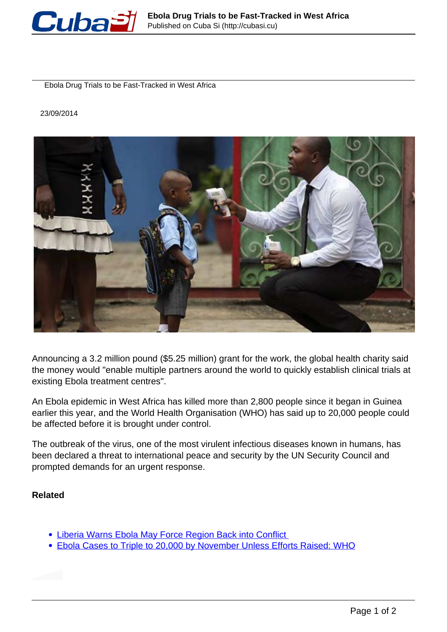

Ebola Drug Trials to be Fast-Tracked in West Africa

23/09/2014



Announcing a 3.2 million pound (\$5.25 million) grant for the work, the global health charity said the money would "enable multiple partners around the world to quickly establish clinical trials at existing Ebola treatment centres".

An Ebola epidemic in West Africa has killed more than 2,800 people since it began in Guinea earlier this year, and the World Health Organisation (WHO) has said up to 20,000 people could be affected before it is brought under control.

The outbreak of the virus, one of the most virulent infectious diseases known in humans, has been declared a threat to international peace and security by the UN Security Council and prompted demands for an urgent response.

## **Related**

- **. Liberia Warns Ebola May Force Region Back into Conflict**
- Ebola Cases to Triple to 20,000 by November Unless Efforts Raised: WHO